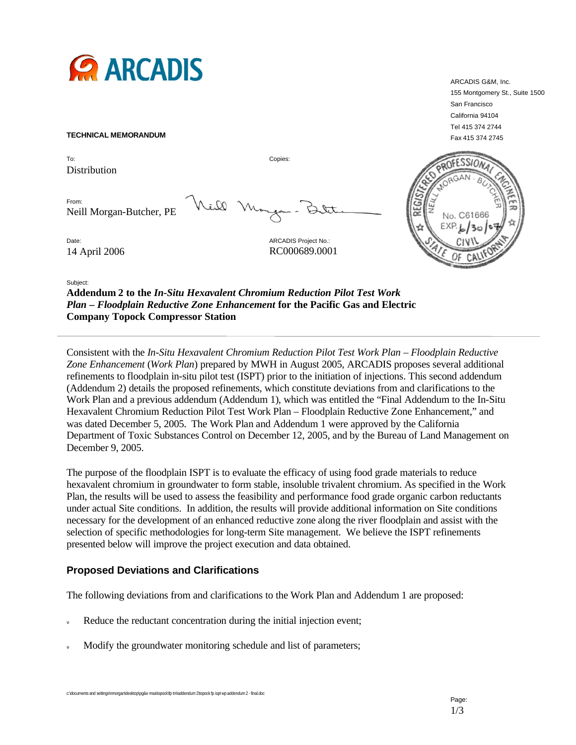

#### **TECHNICAL MEMORANDUM**

To: Copies: Distribution

From: Neill Morgan-Butcher, PE

all

Date: **ARCADIS Project No.: ARCADIS Project No.:** 14 April 2006 RC000689.0001



Subject:

**Addendum 2 to the** *In-Situ Hexavalent Chromium Reduction Pilot Test Work Plan – Floodplain Reductive Zone Enhancement* **for the Pacific Gas and Electric Company Topock Compressor Station** 

Consistent with the *In-Situ Hexavalent Chromium Reduction Pilot Test Work Plan – Floodplain Reductive Zone Enhancement* (*Work Plan*) prepared by MWH in August 2005, ARCADIS proposes several additional refinements to floodplain in-situ pilot test (ISPT) prior to the initiation of injections. This second addendum (Addendum 2) details the proposed refinements, which constitute deviations from and clarifications to the Work Plan and a previous addendum (Addendum 1), which was entitled the "Final Addendum to the In-Situ Hexavalent Chromium Reduction Pilot Test Work Plan – Floodplain Reductive Zone Enhancement," and was dated December 5, 2005. The Work Plan and Addendum 1 were approved by the California Department of Toxic Substances Control on December 12, 2005, and by the Bureau of Land Management on December 9, 2005.

The purpose of the floodplain ISPT is to evaluate the efficacy of using food grade materials to reduce hexavalent chromium in groundwater to form stable, insoluble trivalent chromium. As specified in the Work Plan, the results will be used to assess the feasibility and performance food grade organic carbon reductants under actual Site conditions. In addition, the results will provide additional information on Site conditions necessary for the development of an enhanced reductive zone along the river floodplain and assist with the selection of specific methodologies for long-term Site management. We believe the ISPT refinements presented below will improve the project execution and data obtained.

# **Proposed Deviations and Clarifications**

The following deviations from and clarifications to the Work Plan and Addendum 1 are proposed:

- Reduce the reductant concentration during the initial injection event;
- Modify the groundwater monitoring schedule and list of parameters;

ARCADIS G&M, Inc. 155 Montgomery St., Suite 1500 San Francisco California 94104 Tel 415 374 2744 Fax 415 374 2745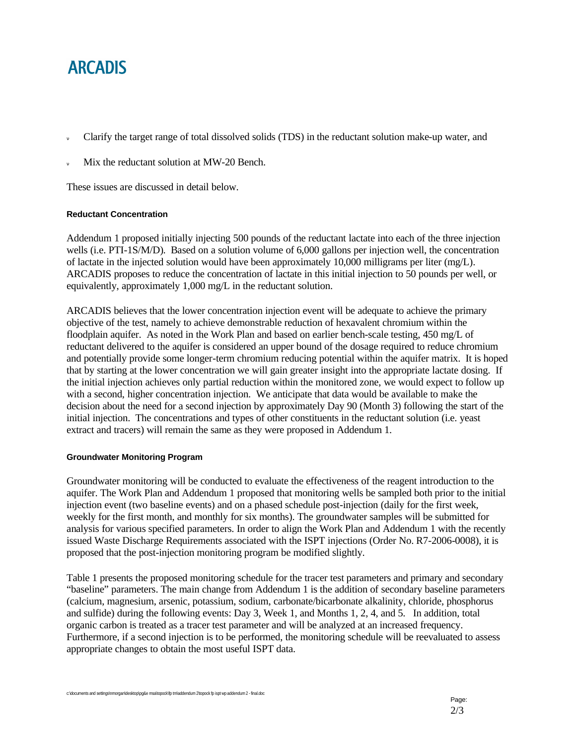# **ARCADIS**

- Clarify the target range of total dissolved solids (TDS) in the reductant solution make-up water, and
- Mix the reductant solution at MW-20 Bench.

These issues are discussed in detail below.

# **Reductant Concentration**

Addendum 1 proposed initially injecting 500 pounds of the reductant lactate into each of the three injection wells (i.e. PTI-1S/M/D). Based on a solution volume of 6,000 gallons per injection well, the concentration of lactate in the injected solution would have been approximately 10,000 milligrams per liter (mg/L). ARCADIS proposes to reduce the concentration of lactate in this initial injection to 50 pounds per well, or equivalently, approximately 1,000 mg/L in the reductant solution.

ARCADIS believes that the lower concentration injection event will be adequate to achieve the primary objective of the test, namely to achieve demonstrable reduction of hexavalent chromium within the floodplain aquifer. As noted in the Work Plan and based on earlier bench-scale testing, 450 mg/L of reductant delivered to the aquifer is considered an upper bound of the dosage required to reduce chromium and potentially provide some longer-term chromium reducing potential within the aquifer matrix. It is hoped that by starting at the lower concentration we will gain greater insight into the appropriate lactate dosing. If the initial injection achieves only partial reduction within the monitored zone, we would expect to follow up with a second, higher concentration injection. We anticipate that data would be available to make the decision about the need for a second injection by approximately Day 90 (Month 3) following the start of the initial injection. The concentrations and types of other constituents in the reductant solution (i.e. yeast extract and tracers) will remain the same as they were proposed in Addendum 1.

## **Groundwater Monitoring Program**

Groundwater monitoring will be conducted to evaluate the effectiveness of the reagent introduction to the aquifer. The Work Plan and Addendum 1 proposed that monitoring wells be sampled both prior to the initial injection event (two baseline events) and on a phased schedule post-injection (daily for the first week, weekly for the first month, and monthly for six months). The groundwater samples will be submitted for analysis for various specified parameters. In order to align the Work Plan and Addendum 1 with the recently issued Waste Discharge Requirements associated with the ISPT injections (Order No. R7-2006-0008), it is proposed that the post-injection monitoring program be modified slightly.

Table 1 presents the proposed monitoring schedule for the tracer test parameters and primary and secondary "baseline" parameters. The main change from Addendum 1 is the addition of secondary baseline parameters (calcium, magnesium, arsenic, potassium, sodium, carbonate/bicarbonate alkalinity, chloride, phosphorus and sulfide) during the following events: Day 3, Week 1, and Months 1, 2, 4, and 5. In addition, total organic carbon is treated as a tracer test parameter and will be analyzed at an increased frequency. Furthermore, if a second injection is to be performed, the monitoring schedule will be reevaluated to assess appropriate changes to obtain the most useful ISPT data.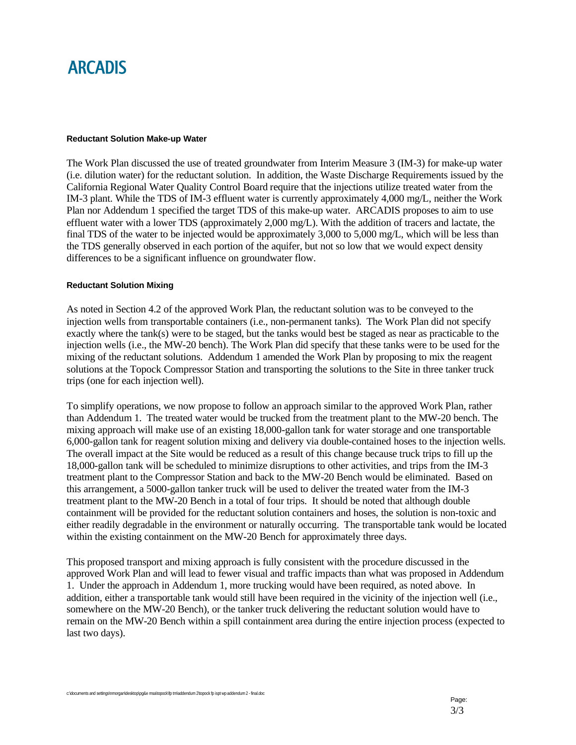# **ARCADIS**

### **Reductant Solution Make-up Water**

The Work Plan discussed the use of treated groundwater from Interim Measure 3 (IM-3) for make-up water (i.e. dilution water) for the reductant solution. In addition, the Waste Discharge Requirements issued by the California Regional Water Quality Control Board require that the injections utilize treated water from the IM-3 plant. While the TDS of IM-3 effluent water is currently approximately 4,000 mg/L, neither the Work Plan nor Addendum 1 specified the target TDS of this make-up water. ARCADIS proposes to aim to use effluent water with a lower TDS (approximately 2,000 mg/L). With the addition of tracers and lactate, the final TDS of the water to be injected would be approximately 3,000 to 5,000 mg/L, which will be less than the TDS generally observed in each portion of the aquifer, but not so low that we would expect density differences to be a significant influence on groundwater flow.

### **Reductant Solution Mixing**

As noted in Section 4.2 of the approved Work Plan, the reductant solution was to be conveyed to the injection wells from transportable containers (i.e., non-permanent tanks). The Work Plan did not specify exactly where the tank(s) were to be staged, but the tanks would best be staged as near as practicable to the injection wells (i.e., the MW-20 bench). The Work Plan did specify that these tanks were to be used for the mixing of the reductant solutions. Addendum 1 amended the Work Plan by proposing to mix the reagent solutions at the Topock Compressor Station and transporting the solutions to the Site in three tanker truck trips (one for each injection well).

To simplify operations, we now propose to follow an approach similar to the approved Work Plan, rather than Addendum 1. The treated water would be trucked from the treatment plant to the MW-20 bench. The mixing approach will make use of an existing 18,000-gallon tank for water storage and one transportable 6,000-gallon tank for reagent solution mixing and delivery via double-contained hoses to the injection wells. The overall impact at the Site would be reduced as a result of this change because truck trips to fill up the 18,000-gallon tank will be scheduled to minimize disruptions to other activities, and trips from the IM-3 treatment plant to the Compressor Station and back to the MW-20 Bench would be eliminated. Based on this arrangement, a 5000-gallon tanker truck will be used to deliver the treated water from the IM-3 treatment plant to the MW-20 Bench in a total of four trips. It should be noted that although double containment will be provided for the reductant solution containers and hoses, the solution is non-toxic and either readily degradable in the environment or naturally occurring. The transportable tank would be located within the existing containment on the MW-20 Bench for approximately three days.

This proposed transport and mixing approach is fully consistent with the procedure discussed in the approved Work Plan and will lead to fewer visual and traffic impacts than what was proposed in Addendum 1. Under the approach in Addendum 1, more trucking would have been required, as noted above. In addition, either a transportable tank would still have been required in the vicinity of the injection well (i.e., somewhere on the MW-20 Bench), or the tanker truck delivering the reductant solution would have to remain on the MW-20 Bench within a spill containment area during the entire injection process (expected to last two days).